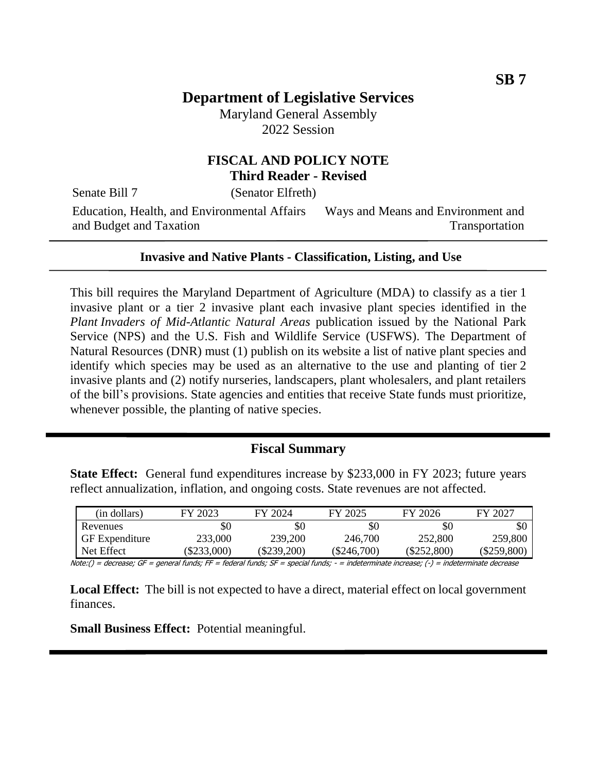Maryland General Assembly 2022 Session

### **FISCAL AND POLICY NOTE Third Reader - Revised**

Senate Bill 7 (Senator Elfreth)

Education, Health, and Environmental Affairs and Budget and Taxation Ways and Means and Environment and Transportation

#### **Invasive and Native Plants - Classification, Listing, and Use**

This bill requires the Maryland Department of Agriculture (MDA) to classify as a tier 1 invasive plant or a tier 2 invasive plant each invasive plant species identified in the *Plant Invaders of Mid-Atlantic Natural Areas* publication issued by the National Park Service (NPS) and the U.S. Fish and Wildlife Service (USFWS). The Department of Natural Resources (DNR) must (1) publish on its website a list of native plant species and identify which species may be used as an alternative to the use and planting of tier 2 invasive plants and (2) notify nurseries, landscapers, plant wholesalers, and plant retailers of the bill's provisions. State agencies and entities that receive State funds must prioritize, whenever possible, the planting of native species.

### **Fiscal Summary**

**State Effect:** General fund expenditures increase by \$233,000 in FY 2023; future years reflect annualization, inflation, and ongoing costs. State revenues are not affected.

| (in dollars)          | FY 2023   | FY 2024       | FY 2025       | FY 2026     | FY 2027       |
|-----------------------|-----------|---------------|---------------|-------------|---------------|
| Revenues              | \$0       | \$0           | \$0           | \$0         | \$0           |
| <b>GF</b> Expenditure | 233,000   | 239,200       | 246,700       | 252,800     | 259,800       |
| Net Effect            | \$233,000 | $(\$239,200)$ | $(\$246,700)$ | (\$252,800) | $(\$259,800)$ |

Note:() = decrease; GF = general funds; FF = federal funds; SF = special funds; - = indeterminate increase; (-) = indeterminate decrease

**Local Effect:** The bill is not expected to have a direct, material effect on local government finances.

**Small Business Effect:** Potential meaningful.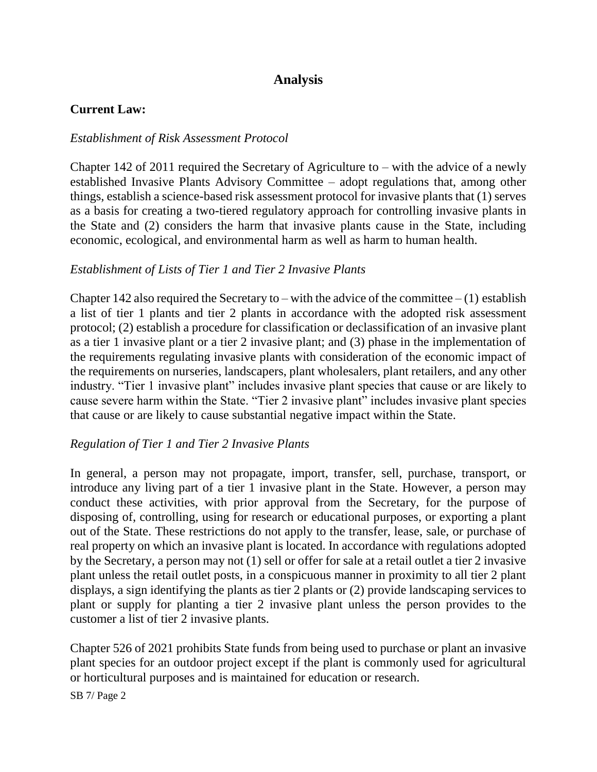# **Analysis**

#### **Current Law:**

#### *Establishment of Risk Assessment Protocol*

Chapter 142 of 2011 required the Secretary of Agriculture to – with the advice of a newly established Invasive Plants Advisory Committee – adopt regulations that, among other things, establish a science-based risk assessment protocol for invasive plants that (1) serves as a basis for creating a two-tiered regulatory approach for controlling invasive plants in the State and (2) considers the harm that invasive plants cause in the State, including economic, ecological, and environmental harm as well as harm to human health.

#### *Establishment of Lists of Tier 1 and Tier 2 Invasive Plants*

Chapter 142 also required the Secretary to – with the advice of the committee – (1) establish a list of tier 1 plants and tier 2 plants in accordance with the adopted risk assessment protocol; (2) establish a procedure for classification or declassification of an invasive plant as a tier 1 invasive plant or a tier 2 invasive plant; and (3) phase in the implementation of the requirements regulating invasive plants with consideration of the economic impact of the requirements on nurseries, landscapers, plant wholesalers, plant retailers, and any other industry. "Tier 1 invasive plant" includes invasive plant species that cause or are likely to cause severe harm within the State. "Tier 2 invasive plant" includes invasive plant species that cause or are likely to cause substantial negative impact within the State.

#### *Regulation of Tier 1 and Tier 2 Invasive Plants*

In general, a person may not propagate, import, transfer, sell, purchase, transport, or introduce any living part of a tier 1 invasive plant in the State. However, a person may conduct these activities, with prior approval from the Secretary, for the purpose of disposing of, controlling, using for research or educational purposes, or exporting a plant out of the State. These restrictions do not apply to the transfer, lease, sale, or purchase of real property on which an invasive plant is located. In accordance with regulations adopted by the Secretary, a person may not (1) sell or offer for sale at a retail outlet a tier 2 invasive plant unless the retail outlet posts, in a conspicuous manner in proximity to all tier 2 plant displays, a sign identifying the plants as tier 2 plants or (2) provide landscaping services to plant or supply for planting a tier 2 invasive plant unless the person provides to the customer a list of tier 2 invasive plants.

Chapter 526 of 2021 prohibits State funds from being used to purchase or plant an invasive plant species for an outdoor project except if the plant is commonly used for agricultural or horticultural purposes and is maintained for education or research.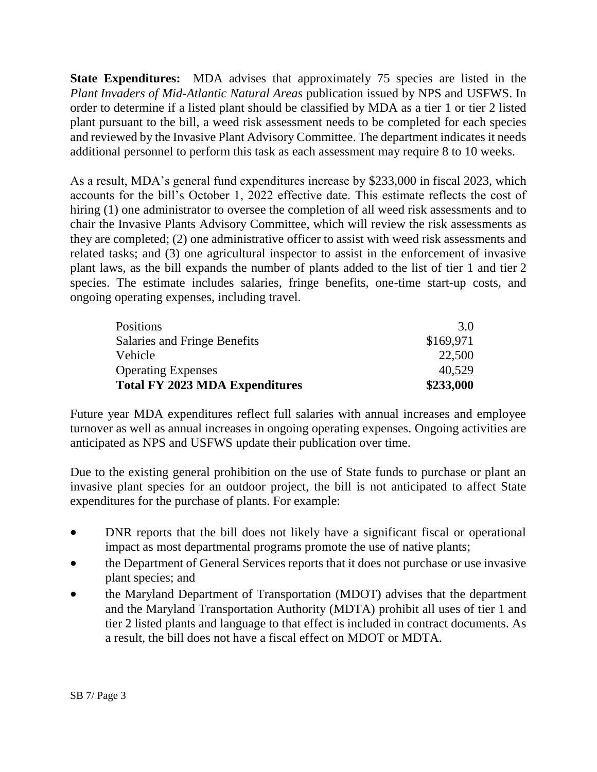**State Expenditures:** MDA advises that approximately 75 species are listed in the *Plant Invaders of Mid-Atlantic Natural Areas* publication issued by NPS and USFWS. In order to determine if a listed plant should be classified by MDA as a tier 1 or tier 2 listed plant pursuant to the bill, a weed risk assessment needs to be completed for each species and reviewed by the Invasive Plant Advisory Committee. The department indicates it needs additional personnel to perform this task as each assessment may require 8 to 10 weeks.

As a result, MDA's general fund expenditures increase by \$233,000 in fiscal 2023, which accounts for the bill's October 1, 2022 effective date. This estimate reflects the cost of hiring (1) one administrator to oversee the completion of all weed risk assessments and to chair the Invasive Plants Advisory Committee, which will review the risk assessments as they are completed; (2) one administrative officer to assist with weed risk assessments and related tasks; and (3) one agricultural inspector to assist in the enforcement of invasive plant laws, as the bill expands the number of plants added to the list of tier 1 and tier 2 species. The estimate includes salaries, fringe benefits, one-time start-up costs, and ongoing operating expenses, including travel.

| <b>Positions</b>                      | 3.0       |
|---------------------------------------|-----------|
| Salaries and Fringe Benefits          | \$169,971 |
| Vehicle                               | 22,500    |
| <b>Operating Expenses</b>             | 40,529    |
| <b>Total FY 2023 MDA Expenditures</b> | \$233,000 |

Future year MDA expenditures reflect full salaries with annual increases and employee turnover as well as annual increases in ongoing operating expenses. Ongoing activities are anticipated as NPS and USFWS update their publication over time.

Due to the existing general prohibition on the use of State funds to purchase or plant an invasive plant species for an outdoor project, the bill is not anticipated to affect State expenditures for the purchase of plants. For example:

- DNR reports that the bill does not likely have a significant fiscal or operational impact as most departmental programs promote the use of native plants;
- the Department of General Services reports that it does not purchase or use invasive plant species; and
- the Maryland Department of Transportation (MDOT) advises that the department and the Maryland Transportation Authority (MDTA) prohibit all uses of tier 1 and tier 2 listed plants and language to that effect is included in contract documents. As a result, the bill does not have a fiscal effect on MDOT or MDTA.